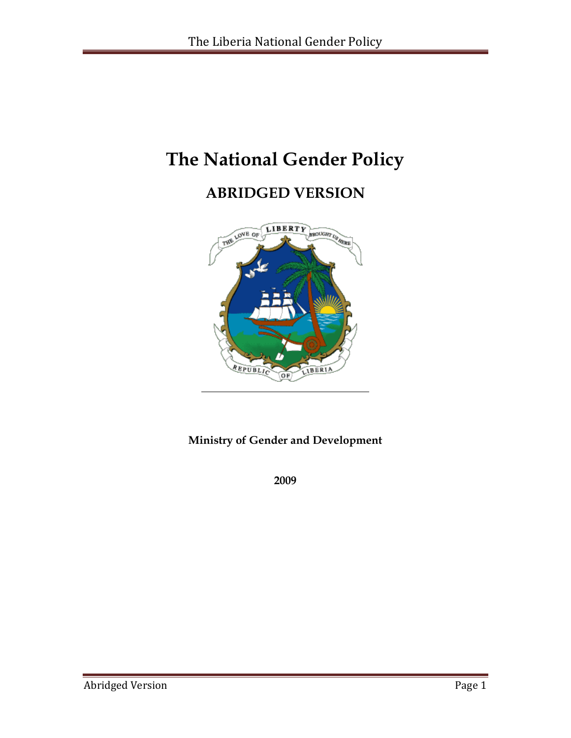# **The National Gender Policy**

# **ABRIDGED VERSION**



# **Ministry of Gender and Development**

**2009**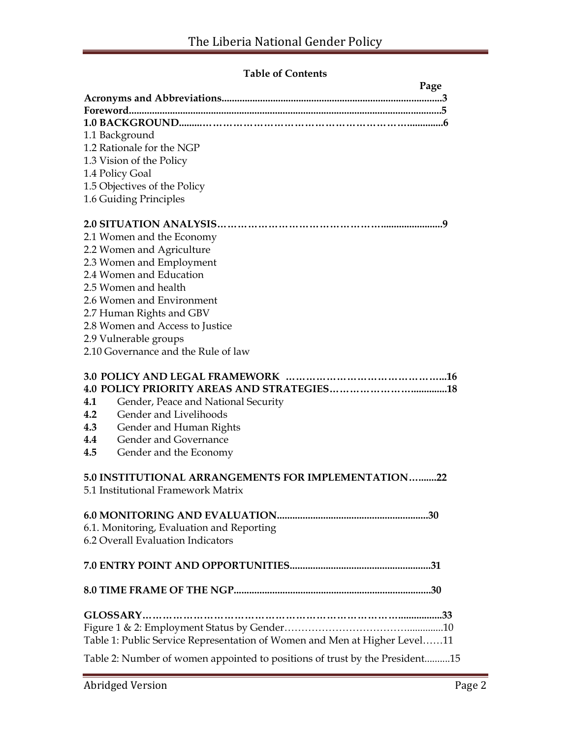# **Table of Contents**

| Page                                                                           |
|--------------------------------------------------------------------------------|
|                                                                                |
|                                                                                |
|                                                                                |
| 1.1 Background                                                                 |
| 1.2 Rationale for the NGP                                                      |
| 1.3 Vision of the Policy                                                       |
| 1.4 Policy Goal                                                                |
| 1.5 Objectives of the Policy                                                   |
| 1.6 Guiding Principles                                                         |
| .9                                                                             |
| 2.1 Women and the Economy                                                      |
| 2.2 Women and Agriculture                                                      |
| 2.3 Women and Employment                                                       |
| 2.4 Women and Education                                                        |
| 2.5 Women and health                                                           |
| 2.6 Women and Environment                                                      |
| 2.7 Human Rights and GBV                                                       |
| 2.8 Women and Access to Justice                                                |
| 2.9 Vulnerable groups                                                          |
| 2.10 Governance and the Rule of law                                            |
|                                                                                |
|                                                                                |
|                                                                                |
| Gender, Peace and National Security<br>4.1                                     |
| Gender and Livelihoods<br>4.2                                                  |
| 4.3<br>Gender and Human Rights                                                 |
| Gender and Governance<br>4.4                                                   |
| 4.5<br>Gender and the Economy                                                  |
|                                                                                |
| 5.0 INSTITUTIONAL ARRANGEMENTS FOR IMPLEMENTATION22                            |
| 5.1 Institutional Framework Matrix                                             |
|                                                                                |
|                                                                                |
| 6.1. Monitoring, Evaluation and Reporting<br>6.2 Overall Evaluation Indicators |
|                                                                                |
|                                                                                |
|                                                                                |
|                                                                                |
|                                                                                |
|                                                                                |
| Table 1: Public Service Representation of Women and Men at Higher Level11      |
| Table 2: Number of women appointed to positions of trust by the President15    |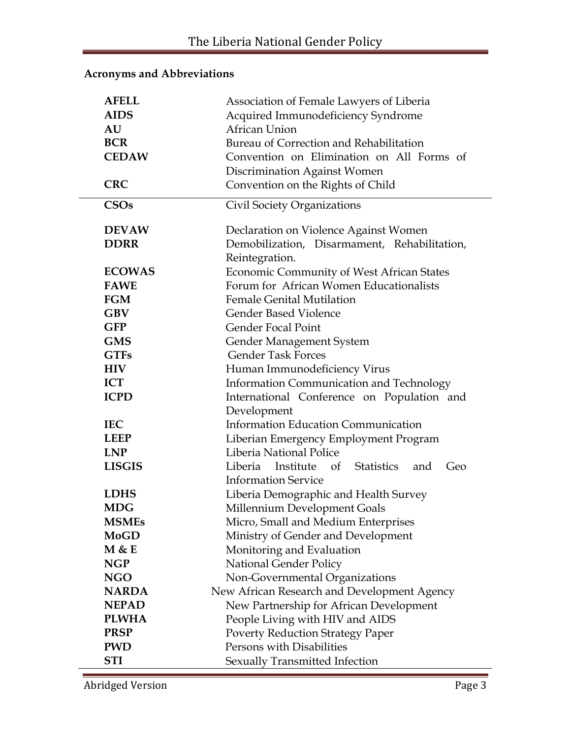# **Acronyms and Abbreviations**

| <b>AFELL</b><br><b>AIDS</b><br>AU<br><b>BCR</b><br><b>CEDAW</b> | Association of Female Lawyers of Liberia<br>Acquired Immunodeficiency Syndrome<br>African Union<br>Bureau of Correction and Rehabilitation<br>Convention on Elimination on All Forms of<br><b>Discrimination Against Women</b> |
|-----------------------------------------------------------------|--------------------------------------------------------------------------------------------------------------------------------------------------------------------------------------------------------------------------------|
| <b>CRC</b>                                                      | Convention on the Rights of Child                                                                                                                                                                                              |
| <b>CSOs</b>                                                     | Civil Society Organizations                                                                                                                                                                                                    |
| <b>DEVAW</b>                                                    | Declaration on Violence Against Women                                                                                                                                                                                          |
| <b>DDRR</b>                                                     | Demobilization, Disarmament, Rehabilitation,                                                                                                                                                                                   |
|                                                                 | Reintegration.                                                                                                                                                                                                                 |
| <b>ECOWAS</b>                                                   | <b>Economic Community of West African States</b>                                                                                                                                                                               |
| <b>FAWE</b>                                                     | Forum for African Women Educationalists                                                                                                                                                                                        |
| <b>FGM</b>                                                      | <b>Female Genital Mutilation</b>                                                                                                                                                                                               |
| <b>GBV</b>                                                      | Gender Based Violence                                                                                                                                                                                                          |
| <b>GFP</b>                                                      | <b>Gender Focal Point</b>                                                                                                                                                                                                      |
| <b>GMS</b>                                                      | Gender Management System                                                                                                                                                                                                       |
| <b>GTFs</b>                                                     | <b>Gender Task Forces</b>                                                                                                                                                                                                      |
| <b>HIV</b>                                                      | Human Immunodeficiency Virus                                                                                                                                                                                                   |
| <b>ICT</b>                                                      | Information Communication and Technology                                                                                                                                                                                       |
| <b>ICPD</b>                                                     | International Conference on Population and                                                                                                                                                                                     |
|                                                                 | Development                                                                                                                                                                                                                    |
| <b>IEC</b>                                                      | Information Education Communication                                                                                                                                                                                            |
| <b>LEEP</b>                                                     | Liberian Emergency Employment Program                                                                                                                                                                                          |
| <b>LNP</b>                                                      | Liberia National Police                                                                                                                                                                                                        |
| <b>LISGIS</b>                                                   | Liberia Institute<br>of Statistics<br>Geo<br>and                                                                                                                                                                               |
|                                                                 | <b>Information Service</b>                                                                                                                                                                                                     |
| <b>LDHS</b>                                                     | Liberia Demographic and Health Survey                                                                                                                                                                                          |
| <b>MDG</b>                                                      | Millennium Development Goals                                                                                                                                                                                                   |
| <b>MSMEs</b>                                                    | Micro, Small and Medium Enterprises                                                                                                                                                                                            |
| <b>MoGD</b>                                                     | Ministry of Gender and Development                                                                                                                                                                                             |
| M & E                                                           | Monitoring and Evaluation                                                                                                                                                                                                      |
| <b>NGP</b>                                                      | National Gender Policy                                                                                                                                                                                                         |
| <b>NGO</b>                                                      | Non-Governmental Organizations                                                                                                                                                                                                 |
| <b>NARDA</b>                                                    | New African Research and Development Agency                                                                                                                                                                                    |
| <b>NEPAD</b>                                                    | New Partnership for African Development                                                                                                                                                                                        |
| <b>PLWHA</b>                                                    | People Living with HIV and AIDS                                                                                                                                                                                                |
| <b>PRSP</b>                                                     | <b>Poverty Reduction Strategy Paper</b>                                                                                                                                                                                        |
| <b>PWD</b>                                                      | Persons with Disabilities                                                                                                                                                                                                      |
| <b>STI</b>                                                      | Sexually Transmitted Infection                                                                                                                                                                                                 |

Abridged Version Page 3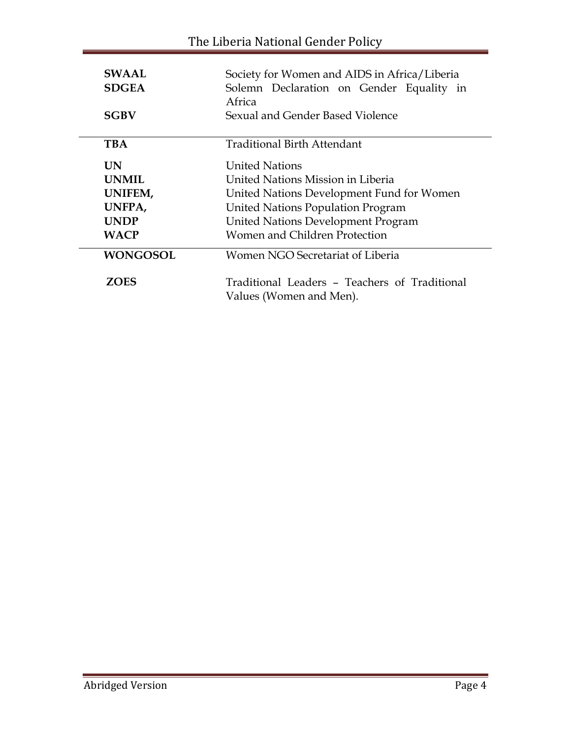| <b>SWAAL</b><br><b>SDGEA</b> | Society for Women and AIDS in Africa/Liberia<br>Solemn Declaration on Gender Equality in<br>Africa |
|------------------------------|----------------------------------------------------------------------------------------------------|
| <b>SGBV</b>                  | Sexual and Gender Based Violence                                                                   |
| <b>TBA</b>                   | Traditional Birth Attendant                                                                        |
| <b>UN</b>                    | <b>United Nations</b>                                                                              |
| <b>UNMIL</b>                 | United Nations Mission in Liberia                                                                  |
| UNIFEM,                      | United Nations Development Fund for Women                                                          |
| UNFPA,                       | United Nations Population Program                                                                  |
| <b>UNDP</b>                  | United Nations Development Program                                                                 |
| <b>WACP</b>                  | Women and Children Protection                                                                      |
| <b>WONGOSOL</b>              | Women NGO Secretariat of Liberia                                                                   |
| <b>ZOES</b>                  | Traditional Leaders - Teachers of Traditional<br>Values (Women and Men).                           |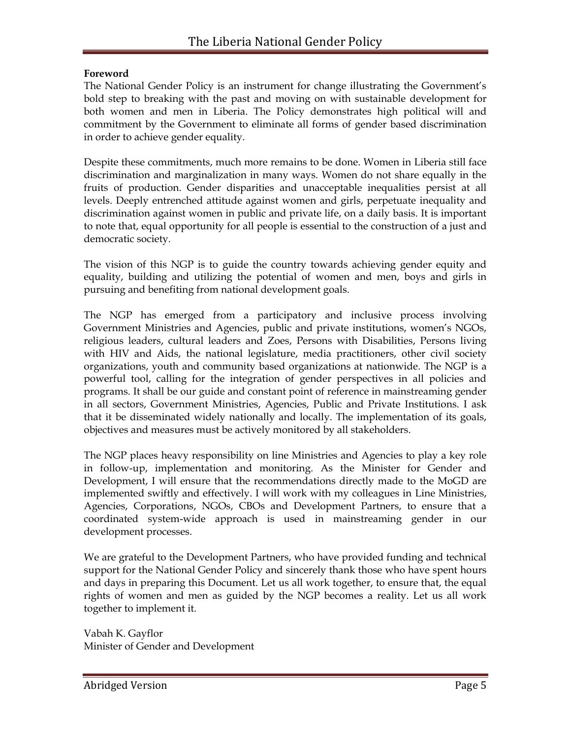#### **Foreword**

The National Gender Policy is an instrument for change illustrating the Government's bold step to breaking with the past and moving on with sustainable development for both women and men in Liberia. The Policy demonstrates high political will and commitment by the Government to eliminate all forms of gender based discrimination in order to achieve gender equality.

Despite these commitments, much more remains to be done. Women in Liberia still face discrimination and marginalization in many ways. Women do not share equally in the fruits of production. Gender disparities and unacceptable inequalities persist at all levels. Deeply entrenched attitude against women and girls, perpetuate inequality and discrimination against women in public and private life, on a daily basis. It is important to note that, equal opportunity for all people is essential to the construction of a just and democratic society.

The vision of this NGP is to guide the country towards achieving gender equity and equality, building and utilizing the potential of women and men, boys and girls in pursuing and benefiting from national development goals.

The NGP has emerged from a participatory and inclusive process involving Government Ministries and Agencies, public and private institutions, women's NGOs, religious leaders, cultural leaders and Zoes, Persons with Disabilities, Persons living with HIV and Aids, the national legislature, media practitioners, other civil society organizations, youth and community based organizations at nationwide. The NGP is a powerful tool, calling for the integration of gender perspectives in all policies and programs. It shall be our guide and constant point of reference in mainstreaming gender in all sectors, Government Ministries, Agencies, Public and Private Institutions. I ask that it be disseminated widely nationally and locally. The implementation of its goals, objectives and measures must be actively monitored by all stakeholders.

The NGP places heavy responsibility on line Ministries and Agencies to play a key role in follow-up, implementation and monitoring. As the Minister for Gender and Development, I will ensure that the recommendations directly made to the MoGD are implemented swiftly and effectively. I will work with my colleagues in Line Ministries, Agencies, Corporations, NGOs, CBOs and Development Partners, to ensure that a coordinated system-wide approach is used in mainstreaming gender in our development processes.

We are grateful to the Development Partners, who have provided funding and technical support for the National Gender Policy and sincerely thank those who have spent hours and days in preparing this Document. Let us all work together, to ensure that, the equal rights of women and men as guided by the NGP becomes a reality. Let us all work together to implement it.

Vabah K. Gayflor Minister of Gender and Development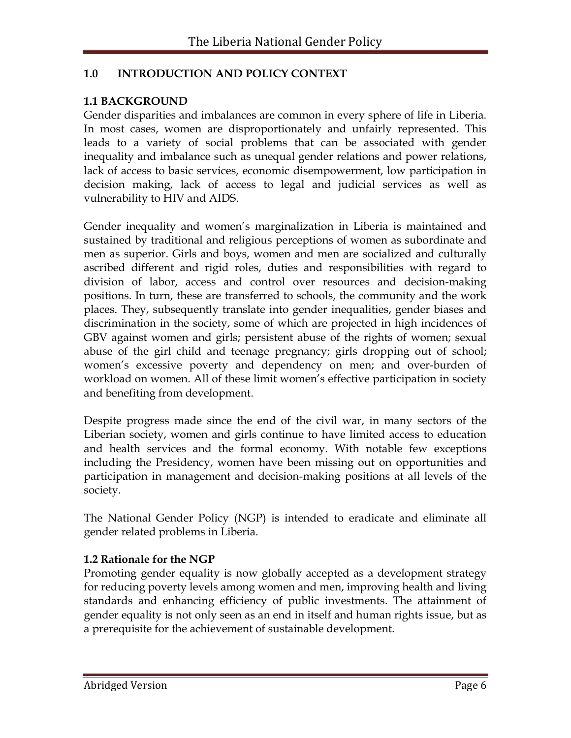# **1.0 INTRODUCTION AND POLICY CONTEXT**

#### **1.1 BACKGROUND**

Gender disparities and imbalances are common in every sphere of life in Liberia. In most cases, women are disproportionately and unfairly represented. This leads to a variety of social problems that can be associated with gender inequality and imbalance such as unequal gender relations and power relations, lack of access to basic services, economic disempowerment, low participation in decision making, lack of access to legal and judicial services as well as vulnerability to HIV and AIDS.

Gender inequality and women's marginalization in Liberia is maintained and sustained by traditional and religious perceptions of women as subordinate and men as superior. Girls and boys, women and men are socialized and culturally ascribed different and rigid roles, duties and responsibilities with regard to division of labor, access and control over resources and decision-making positions. In turn, these are transferred to schools, the community and the work places. They, subsequently translate into gender inequalities, gender biases and discrimination in the society, some of which are projected in high incidences of GBV against women and girls; persistent abuse of the rights of women; sexual abuse of the girl child and teenage pregnancy; girls dropping out of school; women's excessive poverty and dependency on men; and over-burden of workload on women. All of these limit women's effective participation in society and benefiting from development.

Despite progress made since the end of the civil war, in many sectors of the Liberian society, women and girls continue to have limited access to education and health services and the formal economy. With notable few exceptions including the Presidency, women have been missing out on opportunities and participation in management and decision-making positions at all levels of the society.

The National Gender Policy (NGP) is intended to eradicate and eliminate all gender related problems in Liberia.

# **1.2 Rationale for the NGP**

Promoting gender equality is now globally accepted as a development strategy for reducing poverty levels among women and men, improving health and living standards and enhancing efficiency of public investments. The attainment of gender equality is not only seen as an end in itself and human rights issue, but as a prerequisite for the achievement of sustainable development.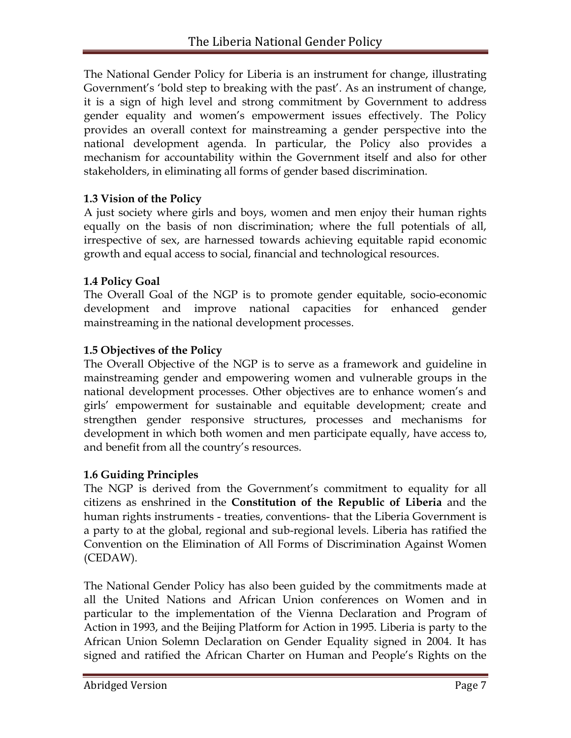The National Gender Policy for Liberia is an instrument for change, illustrating Government's 'bold step to breaking with the past'. As an instrument of change, it is a sign of high level and strong commitment by Government to address gender equality and women's empowerment issues effectively. The Policy provides an overall context for mainstreaming a gender perspective into the national development agenda. In particular, the Policy also provides a mechanism for accountability within the Government itself and also for other stakeholders, in eliminating all forms of gender based discrimination.

# **1.3 Vision of the Policy**

A just society where girls and boys, women and men enjoy their human rights equally on the basis of non discrimination; where the full potentials of all, irrespective of sex, are harnessed towards achieving equitable rapid economic growth and equal access to social, financial and technological resources.

# **1.4 Policy Goal**

The Overall Goal of the NGP is to promote gender equitable, socio-economic development and improve national capacities for enhanced gender mainstreaming in the national development processes.

# **1.5 Objectives of the Policy**

The Overall Objective of the NGP is to serve as a framework and guideline in mainstreaming gender and empowering women and vulnerable groups in the national development processes. Other objectives are to enhance women's and girls' empowerment for sustainable and equitable development; create and strengthen gender responsive structures, processes and mechanisms for development in which both women and men participate equally, have access to, and benefit from all the country's resources.

# **1.6 Guiding Principles**

The NGP is derived from the Government's commitment to equality for all citizens as enshrined in the **Constitution of the Republic of Liberia** and the human rights instruments - treaties, conventions- that the Liberia Government is a party to at the global, regional and sub-regional levels. Liberia has ratified the Convention on the Elimination of All Forms of Discrimination Against Women (CEDAW).

The National Gender Policy has also been guided by the commitments made at all the United Nations and African Union conferences on Women and in particular to the implementation of the Vienna Declaration and Program of Action in 1993, and the Beijing Platform for Action in 1995. Liberia is party to the African Union Solemn Declaration on Gender Equality signed in 2004. It has signed and ratified the African Charter on Human and People's Rights on the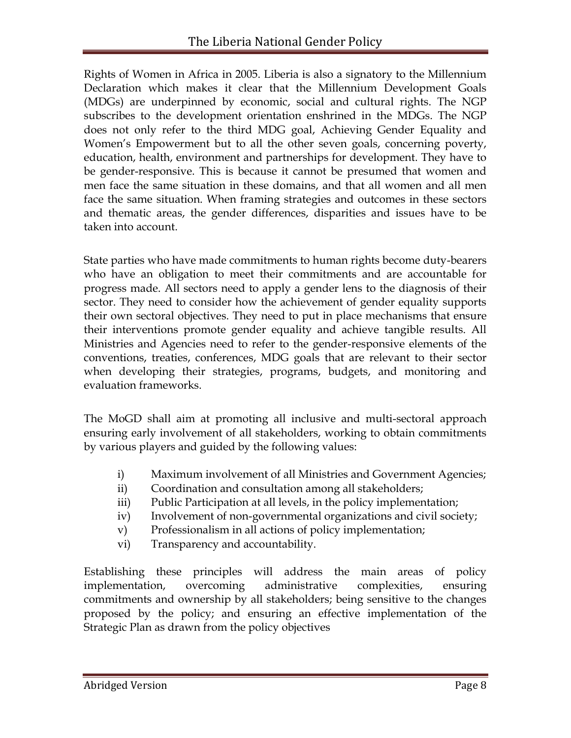Rights of Women in Africa in 2005. Liberia is also a signatory to the Millennium Declaration which makes it clear that the Millennium Development Goals (MDGs) are underpinned by economic, social and cultural rights. The NGP subscribes to the development orientation enshrined in the MDGs. The NGP does not only refer to the third MDG goal, Achieving Gender Equality and Women's Empowerment but to all the other seven goals, concerning poverty, education, health, environment and partnerships for development. They have to be gender-responsive. This is because it cannot be presumed that women and men face the same situation in these domains, and that all women and all men face the same situation. When framing strategies and outcomes in these sectors and thematic areas, the gender differences, disparities and issues have to be taken into account.

State parties who have made commitments to human rights become duty-bearers who have an obligation to meet their commitments and are accountable for progress made. All sectors need to apply a gender lens to the diagnosis of their sector. They need to consider how the achievement of gender equality supports their own sectoral objectives. They need to put in place mechanisms that ensure their interventions promote gender equality and achieve tangible results. All Ministries and Agencies need to refer to the gender-responsive elements of the conventions, treaties, conferences, MDG goals that are relevant to their sector when developing their strategies, programs, budgets, and monitoring and evaluation frameworks.

The MoGD shall aim at promoting all inclusive and multi-sectoral approach ensuring early involvement of all stakeholders, working to obtain commitments by various players and guided by the following values:

- i) Maximum involvement of all Ministries and Government Agencies;
- ii) Coordination and consultation among all stakeholders;
- iii) Public Participation at all levels, in the policy implementation;
- iv) Involvement of non-governmental organizations and civil society;
- v) Professionalism in all actions of policy implementation;
- vi) Transparency and accountability.

Establishing these principles will address the main areas of policy implementation, overcoming administrative complexities, ensuring commitments and ownership by all stakeholders; being sensitive to the changes proposed by the policy; and ensuring an effective implementation of the Strategic Plan as drawn from the policy objectives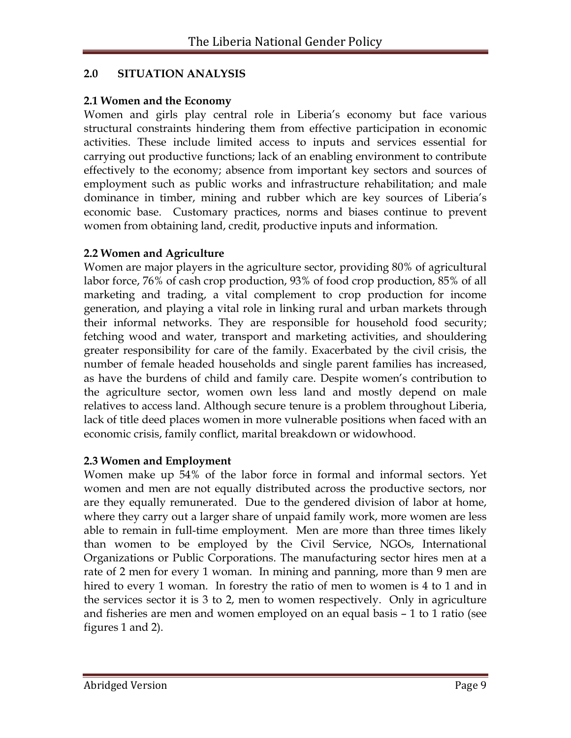# **2.0 SITUATION ANALYSIS**

#### **2.1 Women and the Economy**

Women and girls play central role in Liberia's economy but face various structural constraints hindering them from effective participation in economic activities. These include limited access to inputs and services essential for carrying out productive functions; lack of an enabling environment to contribute effectively to the economy; absence from important key sectors and sources of employment such as public works and infrastructure rehabilitation; and male dominance in timber, mining and rubber which are key sources of Liberia's economic base. Customary practices, norms and biases continue to prevent women from obtaining land, credit, productive inputs and information.

# **2.2 Women and Agriculture**

Women are major players in the agriculture sector, providing 80% of agricultural labor force, 76% of cash crop production, 93% of food crop production, 85% of all marketing and trading, a vital complement to crop production for income generation, and playing a vital role in linking rural and urban markets through their informal networks. They are responsible for household food security; fetching wood and water, transport and marketing activities, and shouldering greater responsibility for care of the family. Exacerbated by the civil crisis, the number of female headed households and single parent families has increased, as have the burdens of child and family care. Despite women's contribution to the agriculture sector, women own less land and mostly depend on male relatives to access land. Although secure tenure is a problem throughout Liberia, lack of title deed places women in more vulnerable positions when faced with an economic crisis, family conflict, marital breakdown or widowhood.

# **2.3 Women and Employment**

Women make up 54% of the labor force in formal and informal sectors. Yet women and men are not equally distributed across the productive sectors, nor are they equally remunerated. Due to the gendered division of labor at home, where they carry out a larger share of unpaid family work, more women are less able to remain in full-time employment. Men are more than three times likely than women to be employed by the Civil Service, NGOs, International Organizations or Public Corporations. The manufacturing sector hires men at a rate of 2 men for every 1 woman. In mining and panning, more than 9 men are hired to every 1 woman. In forestry the ratio of men to women is 4 to 1 and in the services sector it is 3 to 2, men to women respectively. Only in agriculture and fisheries are men and women employed on an equal basis – 1 to 1 ratio (see figures 1 and 2).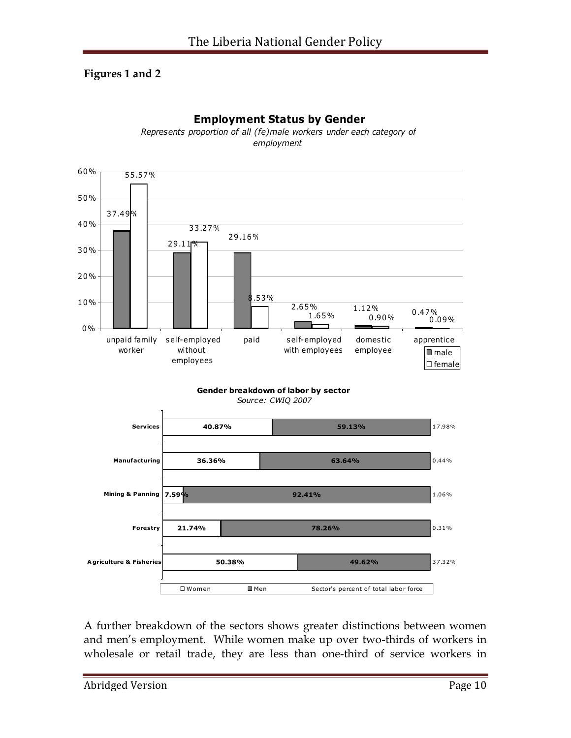# **Figures 1 and 2**



**Employment Status by Gender** *Represents proportion of all (fe)male workers under each category of* 

*employment*

A further breakdown of the sectors shows greater distinctions between women and men's employment. While women make up over two-thirds of workers in wholesale or retail trade, they are less than one-third of service workers in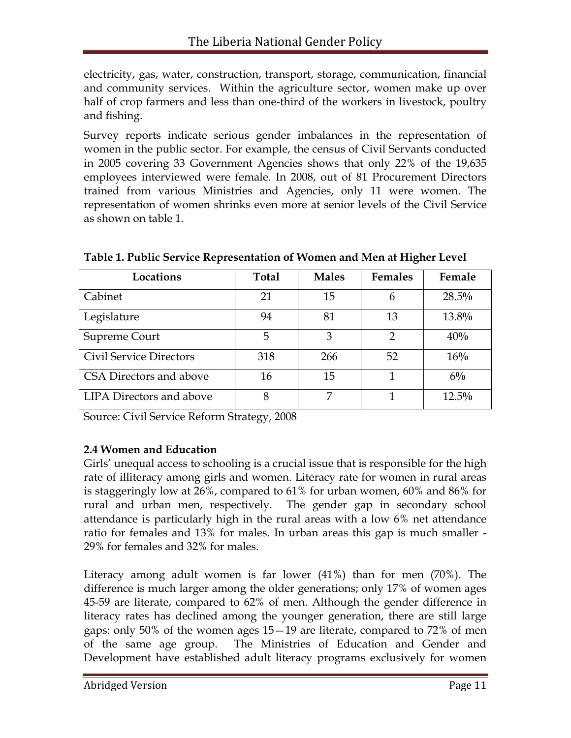electricity, gas, water, construction, transport, storage, communication, financial and community services. Within the agriculture sector, women make up over half of crop farmers and less than one-third of the workers in livestock, poultry and fishing.

Survey reports indicate serious gender imbalances in the representation of women in the public sector. For example, the census of Civil Servants conducted in 2005 covering 33 Government Agencies shows that only 22% of the 19,635 employees interviewed were female. In 2008, out of 81 Procurement Directors trained from various Ministries and Agencies, only 11 were women. The representation of women shrinks even more at senior levels of the Civil Service as shown on table 1.

| Locations                      | <b>Total</b> | <b>Males</b> | <b>Females</b> | Female   |
|--------------------------------|--------------|--------------|----------------|----------|
| Cabinet                        | 21           | 15           | 6              | $28.5\%$ |
| Legislature                    | 94           | 81           | 13             | 13.8%    |
| Supreme Court                  | 5            | 3            | 2              | 40%      |
| <b>Civil Service Directors</b> | 318          | 266          | 52             | 16%      |
| CSA Directors and above        | 16           | 15           |                | $6\%$    |
| LIPA Directors and above       | 8            | 7            |                | $12.5\%$ |

**Table 1. Public Service Representation of Women and Men at Higher Level**

Source: Civil Service Reform Strategy, 2008

# **2.4 Women and Education**

Girls' unequal access to schooling is a crucial issue that is responsible for the high rate of illiteracy among girls and women. Literacy rate for women in rural areas is staggeringly low at 26%, compared to 61% for urban women, 60% and 86% for rural and urban men, respectively. The gender gap in secondary school attendance is particularly high in the rural areas with a low 6% net attendance ratio for females and 13% for males. In urban areas this gap is much smaller - 29% for females and 32% for males.

Literacy among adult women is far lower (41%) than for men (70%). The difference is much larger among the older generations; only 17% of women ages 45-59 are literate, compared to 62% of men. Although the gender difference in literacy rates has declined among the younger generation, there are still large gaps: only 50% of the women ages 15—19 are literate, compared to 72% of men of the same age group. The Ministries of Education and Gender and Development have established adult literacy programs exclusively for women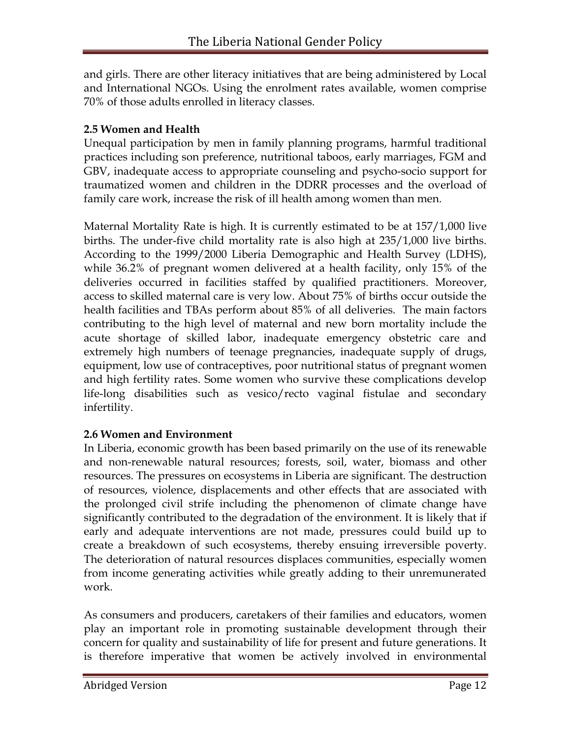and girls. There are other literacy initiatives that are being administered by Local and International NGOs. Using the enrolment rates available, women comprise 70% of those adults enrolled in literacy classes.

# **2.5 Women and Health**

Unequal participation by men in family planning programs, harmful traditional practices including son preference, nutritional taboos, early marriages, FGM and GBV, inadequate access to appropriate counseling and psycho-socio support for traumatized women and children in the DDRR processes and the overload of family care work, increase the risk of ill health among women than men.

Maternal Mortality Rate is high. It is currently estimated to be at 157/1,000 live births. The under-five child mortality rate is also high at 235/1,000 live births. According to the 1999/2000 Liberia Demographic and Health Survey (LDHS), while 36.2% of pregnant women delivered at a health facility, only 15% of the deliveries occurred in facilities staffed by qualified practitioners. Moreover, access to skilled maternal care is very low. About 75% of births occur outside the health facilities and TBAs perform about 85% of all deliveries. The main factors contributing to the high level of maternal and new born mortality include the acute shortage of skilled labor, inadequate emergency obstetric care and extremely high numbers of teenage pregnancies, inadequate supply of drugs, equipment, low use of contraceptives, poor nutritional status of pregnant women and high fertility rates. Some women who survive these complications develop life-long disabilities such as vesico/recto vaginal fistulae and secondary infertility.

# **2.6 Women and Environment**

In Liberia, economic growth has been based primarily on the use of its renewable and non-renewable natural resources; forests, soil, water, biomass and other resources. The pressures on ecosystems in Liberia are significant. The destruction of resources, violence, displacements and other effects that are associated with the prolonged civil strife including the phenomenon of climate change have significantly contributed to the degradation of the environment. It is likely that if early and adequate interventions are not made, pressures could build up to create a breakdown of such ecosystems, thereby ensuing irreversible poverty. The deterioration of natural resources displaces communities, especially women from income generating activities while greatly adding to their unremunerated work.

As consumers and producers, caretakers of their families and educators, women play an important role in promoting sustainable development through their concern for quality and sustainability of life for present and future generations. It is therefore imperative that women be actively involved in environmental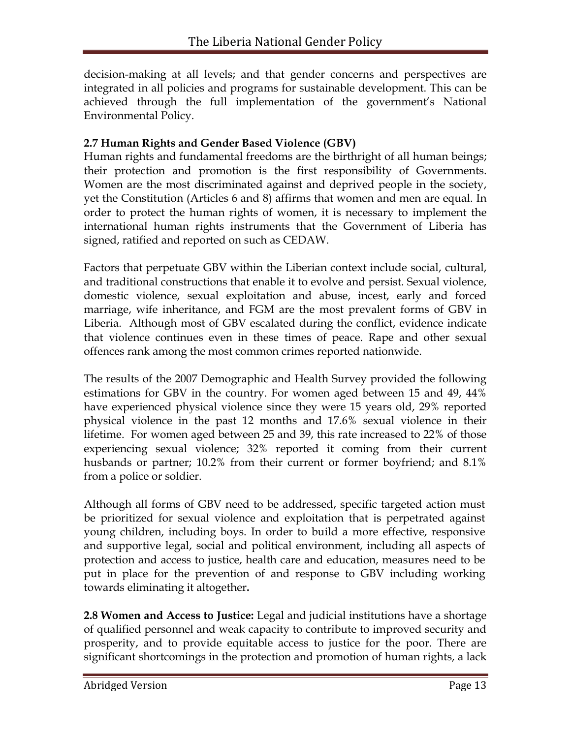decision-making at all levels; and that gender concerns and perspectives are integrated in all policies and programs for sustainable development. This can be achieved through the full implementation of the government's National Environmental Policy.

# **2.7 Human Rights and Gender Based Violence (GBV)**

Human rights and fundamental freedoms are the birthright of all human beings; their protection and promotion is the first responsibility of Governments. Women are the most discriminated against and deprived people in the society, yet the Constitution (Articles 6 and 8) affirms that women and men are equal. In order to protect the human rights of women, it is necessary to implement the international human rights instruments that the Government of Liberia has signed, ratified and reported on such as CEDAW.

Factors that perpetuate GBV within the Liberian context include social, cultural, and traditional constructions that enable it to evolve and persist. Sexual violence, domestic violence, sexual exploitation and abuse, incest, early and forced marriage, wife inheritance, and FGM are the most prevalent forms of GBV in Liberia. Although most of GBV escalated during the conflict, evidence indicate that violence continues even in these times of peace. Rape and other sexual offences rank among the most common crimes reported nationwide.

The results of the 2007 Demographic and Health Survey provided the following estimations for GBV in the country. For women aged between 15 and 49, 44% have experienced physical violence since they were 15 years old, 29% reported physical violence in the past 12 months and 17.6% sexual violence in their lifetime. For women aged between 25 and 39, this rate increased to 22% of those experiencing sexual violence; 32% reported it coming from their current husbands or partner; 10.2% from their current or former boyfriend; and 8.1% from a police or soldier.

Although all forms of GBV need to be addressed, specific targeted action must be prioritized for sexual violence and exploitation that is perpetrated against young children, including boys. In order to build a more effective, responsive and supportive legal, social and political environment, including all aspects of protection and access to justice, health care and education, measures need to be put in place for the prevention of and response to GBV including working towards eliminating it altogether**.**

**2.8 Women and Access to Justice:** Legal and judicial institutions have a shortage of qualified personnel and weak capacity to contribute to improved security and prosperity, and to provide equitable access to justice for the poor. There are significant shortcomings in the protection and promotion of human rights, a lack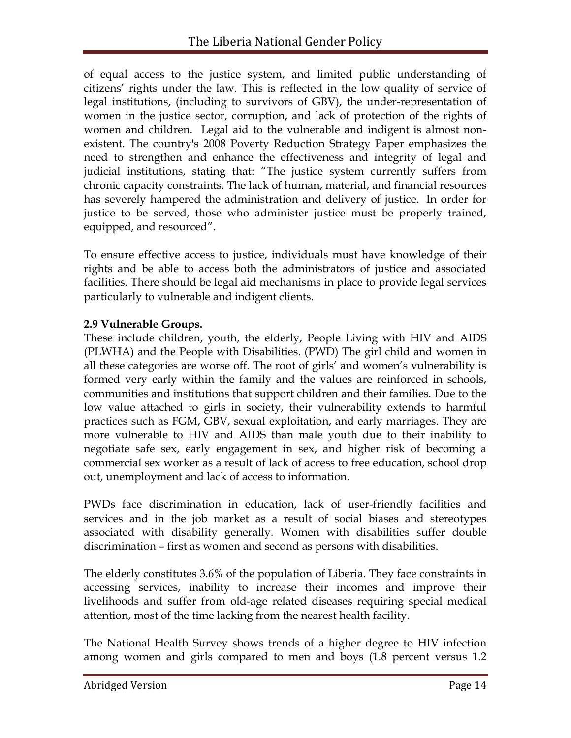of equal access to the justice system, and limited public understanding of citizens' rights under the law. This is reflected in the low quality of service of legal institutions, (including to survivors of GBV), the under-representation of women in the justice sector, corruption, and lack of protection of the rights of women and children. Legal aid to the vulnerable and indigent is almost nonexistent. The country's 2008 Poverty Reduction Strategy Paper emphasizes the need to strengthen and enhance the effectiveness and integrity of legal and judicial institutions, stating that: "The justice system currently suffers from chronic capacity constraints. The lack of human, material, and financial resources has severely hampered the administration and delivery of justice. In order for justice to be served, those who administer justice must be properly trained, equipped, and resourced".

To ensure effective access to justice, individuals must have knowledge of their rights and be able to access both the administrators of justice and associated facilities. There should be legal aid mechanisms in place to provide legal services particularly to vulnerable and indigent clients.

# **2.9 Vulnerable Groups.**

These include children, youth, the elderly, People Living with HIV and AIDS (PLWHA) and the People with Disabilities. (PWD) The girl child and women in all these categories are worse off. The root of girls' and women's vulnerability is formed very early within the family and the values are reinforced in schools, communities and institutions that support children and their families. Due to the low value attached to girls in society, their vulnerability extends to harmful practices such as FGM, GBV, sexual exploitation, and early marriages. They are more vulnerable to HIV and AIDS than male youth due to their inability to negotiate safe sex, early engagement in sex, and higher risk of becoming a commercial sex worker as a result of lack of access to free education, school drop out, unemployment and lack of access to information.

PWDs face discrimination in education, lack of user-friendly facilities and services and in the job market as a result of social biases and stereotypes associated with disability generally. Women with disabilities suffer double discrimination – first as women and second as persons with disabilities.

The elderly constitutes 3.6% of the population of Liberia. They face constraints in accessing services, inability to increase their incomes and improve their livelihoods and suffer from old-age related diseases requiring special medical attention, most of the time lacking from the nearest health facility.

The National Health Survey shows trends of a higher degree to HIV infection among women and girls compared to men and boys (1.8 percent versus 1.2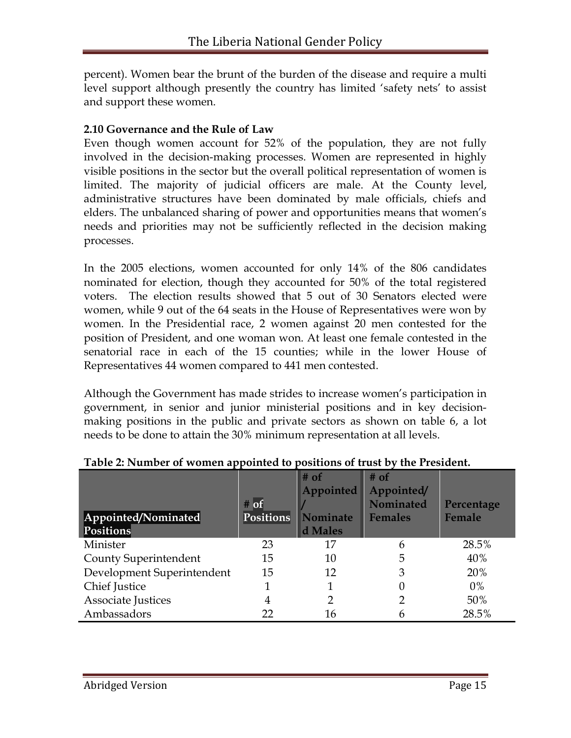percent). Women bear the brunt of the burden of the disease and require a multi level support although presently the country has limited 'safety nets' to assist and support these women.

#### **2.10 Governance and the Rule of Law**

Even though women account for 52% of the population, they are not fully involved in the decision-making processes. Women are represented in highly visible positions in the sector but the overall political representation of women is limited. The majority of judicial officers are male. At the County level, administrative structures have been dominated by male officials, chiefs and elders. The unbalanced sharing of power and opportunities means that women's needs and priorities may not be sufficiently reflected in the decision making processes.

In the 2005 elections, women accounted for only 14% of the 806 candidates nominated for election, though they accounted for 50% of the total registered voters. The election results showed that 5 out of 30 Senators elected were women, while 9 out of the 64 seats in the House of Representatives were won by women. In the Presidential race, 2 women against 20 men contested for the position of President, and one woman won. At least one female contested in the senatorial race in each of the 15 counties; while in the lower House of Representatives 44 women compared to 441 men contested.

Although the Government has made strides to increase women's participation in government, in senior and junior ministerial positions and in key decisionmaking positions in the public and private sectors as shown on table 6, a lot needs to be done to attain the 30% minimum representation at all levels.

| Appointed/Nominated<br><b>Positions</b> | $#$ of<br><b>Positions</b> | $#$ of<br>Appointed<br><b>Nominate</b><br>d Males | $#$ of<br>Appointed/<br><b>Nominated</b><br><b>Females</b> | Percentage<br><b>Female</b> |
|-----------------------------------------|----------------------------|---------------------------------------------------|------------------------------------------------------------|-----------------------------|
| Minister                                | 23                         | 17                                                | 6                                                          | 28.5%                       |
| <b>County Superintendent</b>            | 15                         | 10                                                | 5                                                          | 40%                         |
| Development Superintendent              | 15                         | 12                                                | 3                                                          | 20%                         |
| Chief Justice                           |                            |                                                   |                                                            | $0\%$                       |
| <b>Associate Justices</b>               | 4                          |                                                   |                                                            | 50%                         |
| Ambassadors                             | 22                         | 16                                                |                                                            | 28.5%                       |

**Table 2: Number of women appointed to positions of trust by the President.**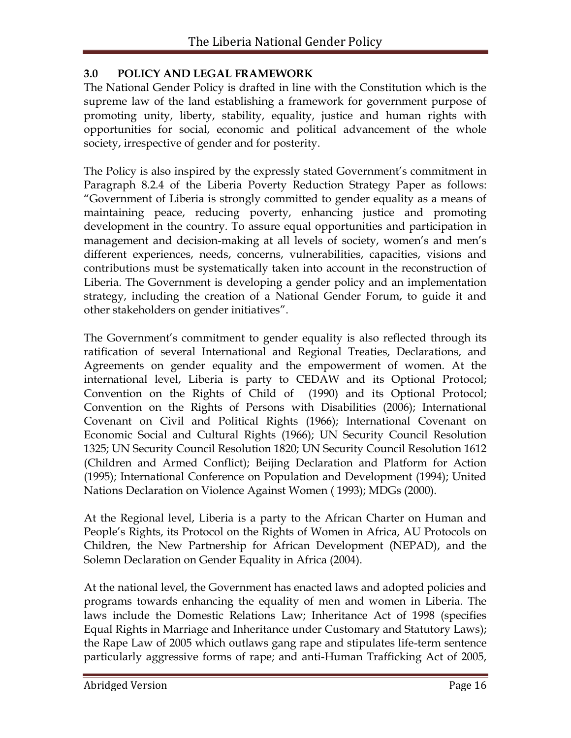# **3.0 POLICY AND LEGAL FRAMEWORK**

The National Gender Policy is drafted in line with the Constitution which is the supreme law of the land establishing a framework for government purpose of promoting unity, liberty, stability, equality, justice and human rights with opportunities for social, economic and political advancement of the whole society, irrespective of gender and for posterity.

The Policy is also inspired by the expressly stated Government's commitment in Paragraph 8.2.4 of the Liberia Poverty Reduction Strategy Paper as follows: ―Government of Liberia is strongly committed to gender equality as a means of maintaining peace, reducing poverty, enhancing justice and promoting development in the country. To assure equal opportunities and participation in management and decision-making at all levels of society, women's and men's different experiences, needs, concerns, vulnerabilities, capacities, visions and contributions must be systematically taken into account in the reconstruction of Liberia. The Government is developing a gender policy and an implementation strategy, including the creation of a National Gender Forum, to guide it and other stakeholders on gender initiatives".

The Government's commitment to gender equality is also reflected through its ratification of several International and Regional Treaties, Declarations, and Agreements on gender equality and the empowerment of women. At the international level, Liberia is party to CEDAW and its Optional Protocol; Convention on the Rights of Child of (1990) and its Optional Protocol; Convention on the Rights of Persons with Disabilities (2006); International Covenant on Civil and Political Rights (1966); International Covenant on Economic Social and Cultural Rights (1966); UN Security Council Resolution 1325; UN Security Council Resolution 1820; UN Security Council Resolution 1612 (Children and Armed Conflict); Beijing Declaration and Platform for Action (1995); International Conference on Population and Development (1994); United Nations Declaration on Violence Against Women ( 1993); MDGs (2000).

At the Regional level, Liberia is a party to the African Charter on Human and People's Rights, its Protocol on the Rights of Women in Africa, AU Protocols on Children, the New Partnership for African Development (NEPAD), and the Solemn Declaration on Gender Equality in Africa (2004).

At the national level, the Government has enacted laws and adopted policies and programs towards enhancing the equality of men and women in Liberia. The laws include the Domestic Relations Law; Inheritance Act of 1998 (specifies Equal Rights in Marriage and Inheritance under Customary and Statutory Laws); the Rape Law of 2005 which outlaws gang rape and stipulates life-term sentence particularly aggressive forms of rape; and anti-Human Trafficking Act of 2005,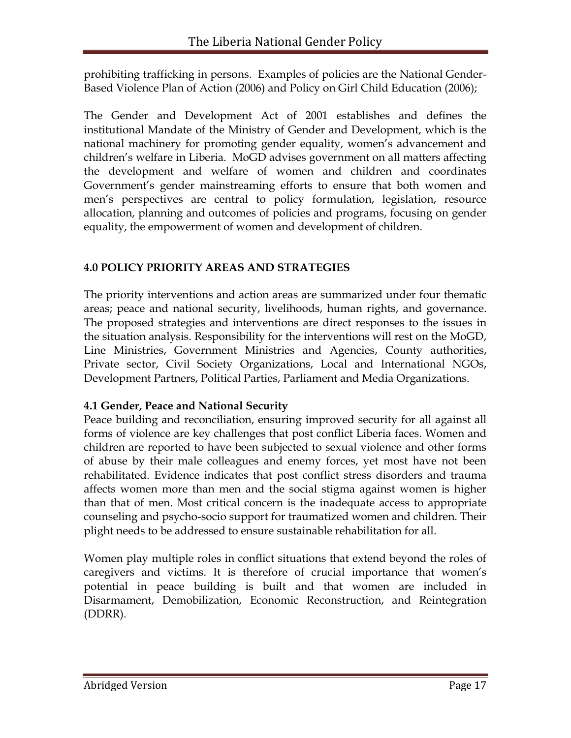prohibiting trafficking in persons. Examples of policies are the National Gender-Based Violence Plan of Action (2006) and Policy on Girl Child Education (2006);

The Gender and Development Act of 2001 establishes and defines the institutional Mandate of the Ministry of Gender and Development, which is the national machinery for promoting gender equality, women's advancement and children's welfare in Liberia. MoGD advises government on all matters affecting the development and welfare of women and children and coordinates Government's gender mainstreaming efforts to ensure that both women and men's perspectives are central to policy formulation, legislation, resource allocation, planning and outcomes of policies and programs, focusing on gender equality, the empowerment of women and development of children.

# **4.0 POLICY PRIORITY AREAS AND STRATEGIES**

The priority interventions and action areas are summarized under four thematic areas; peace and national security, livelihoods, human rights, and governance. The proposed strategies and interventions are direct responses to the issues in the situation analysis. Responsibility for the interventions will rest on the MoGD, Line Ministries, Government Ministries and Agencies, County authorities, Private sector, Civil Society Organizations, Local and International NGOs, Development Partners, Political Parties, Parliament and Media Organizations.

# **4.1 Gender, Peace and National Security**

Peace building and reconciliation, ensuring improved security for all against all forms of violence are key challenges that post conflict Liberia faces. Women and children are reported to have been subjected to sexual violence and other forms of abuse by their male colleagues and enemy forces, yet most have not been rehabilitated. Evidence indicates that post conflict stress disorders and trauma affects women more than men and the social stigma against women is higher than that of men. Most critical concern is the inadequate access to appropriate counseling and psycho-socio support for traumatized women and children. Their plight needs to be addressed to ensure sustainable rehabilitation for all.

Women play multiple roles in conflict situations that extend beyond the roles of caregivers and victims. It is therefore of crucial importance that women's potential in peace building is built and that women are included in Disarmament, Demobilization, Economic Reconstruction, and Reintegration (DDRR).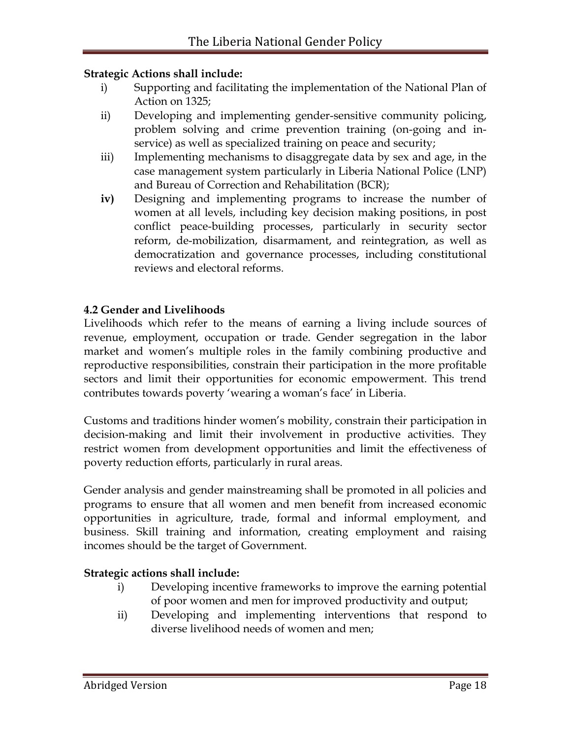#### **Strategic Actions shall include:**

- i) Supporting and facilitating the implementation of the National Plan of Action on 1325;
- ii) Developing and implementing gender-sensitive community policing, problem solving and crime prevention training (on-going and inservice) as well as specialized training on peace and security;
- iii) Implementing mechanisms to disaggregate data by sex and age, in the case management system particularly in Liberia National Police (LNP) and Bureau of Correction and Rehabilitation (BCR);
- **iv)** Designing and implementing programs to increase the number of women at all levels, including key decision making positions, in post conflict peace-building processes, particularly in security sector reform, de-mobilization, disarmament, and reintegration, as well as democratization and governance processes, including constitutional reviews and electoral reforms.

# **4.2 Gender and Livelihoods**

Livelihoods which refer to the means of earning a living include sources of revenue, employment, occupation or trade. Gender segregation in the labor market and women's multiple roles in the family combining productive and reproductive responsibilities, constrain their participation in the more profitable sectors and limit their opportunities for economic empowerment. This trend contributes towards poverty 'wearing a woman's face' in Liberia.

Customs and traditions hinder women's mobility, constrain their participation in decision-making and limit their involvement in productive activities. They restrict women from development opportunities and limit the effectiveness of poverty reduction efforts, particularly in rural areas.

Gender analysis and gender mainstreaming shall be promoted in all policies and programs to ensure that all women and men benefit from increased economic opportunities in agriculture, trade, formal and informal employment, and business. Skill training and information, creating employment and raising incomes should be the target of Government.

#### **Strategic actions shall include:**

- i) Developing incentive frameworks to improve the earning potential of poor women and men for improved productivity and output;
- ii) Developing and implementing interventions that respond to diverse livelihood needs of women and men;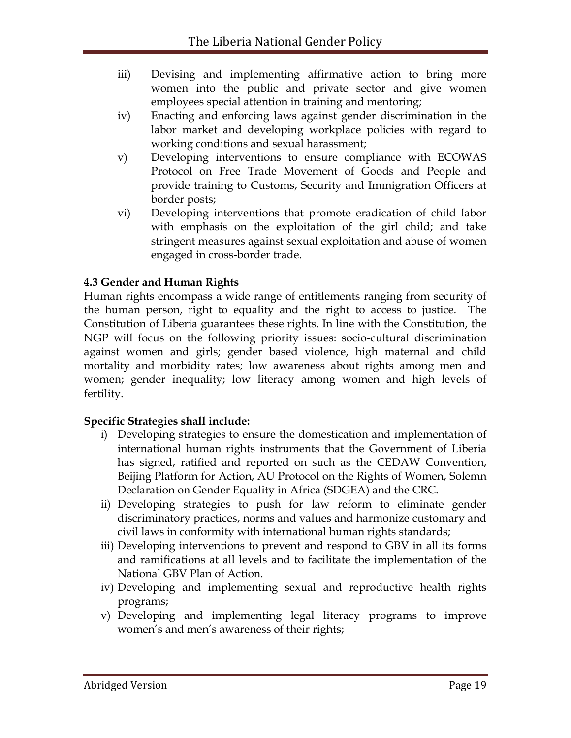- iii) Devising and implementing affirmative action to bring more women into the public and private sector and give women employees special attention in training and mentoring;
- iv) Enacting and enforcing laws against gender discrimination in the labor market and developing workplace policies with regard to working conditions and sexual harassment;
- v) Developing interventions to ensure compliance with ECOWAS Protocol on Free Trade Movement of Goods and People and provide training to Customs, Security and Immigration Officers at border posts;
- vi) Developing interventions that promote eradication of child labor with emphasis on the exploitation of the girl child; and take stringent measures against sexual exploitation and abuse of women engaged in cross-border trade.

# **4.3 Gender and Human Rights**

Human rights encompass a wide range of entitlements ranging from security of the human person, right to equality and the right to access to justice. The Constitution of Liberia guarantees these rights. In line with the Constitution, the NGP will focus on the following priority issues: socio-cultural discrimination against women and girls; gender based violence, high maternal and child mortality and morbidity rates; low awareness about rights among men and women; gender inequality; low literacy among women and high levels of fertility.

# **Specific Strategies shall include:**

- i) Developing strategies to ensure the domestication and implementation of international human rights instruments that the Government of Liberia has signed, ratified and reported on such as the CEDAW Convention, Beijing Platform for Action, AU Protocol on the Rights of Women, Solemn Declaration on Gender Equality in Africa (SDGEA) and the CRC.
- ii) Developing strategies to push for law reform to eliminate gender discriminatory practices, norms and values and harmonize customary and civil laws in conformity with international human rights standards;
- iii) Developing interventions to prevent and respond to GBV in all its forms and ramifications at all levels and to facilitate the implementation of the National GBV Plan of Action.
- iv) Developing and implementing sexual and reproductive health rights programs;
- v) Developing and implementing legal literacy programs to improve women's and men's awareness of their rights;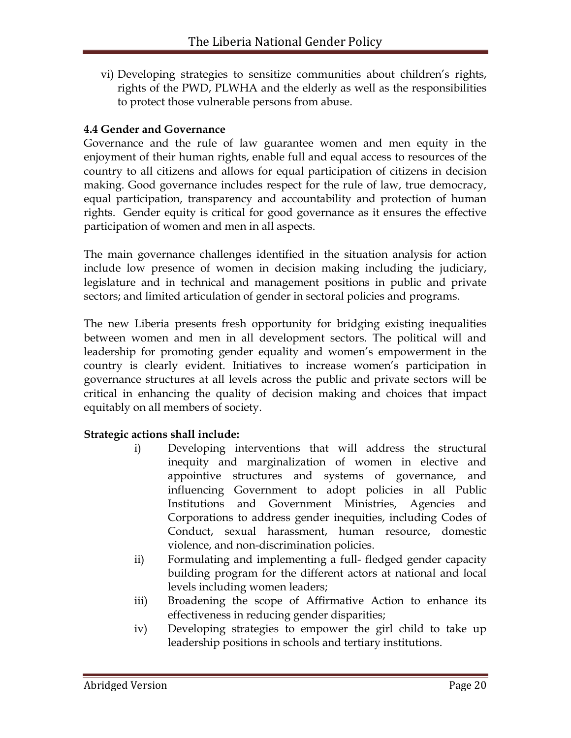vi) Developing strategies to sensitize communities about children's rights, rights of the PWD, PLWHA and the elderly as well as the responsibilities to protect those vulnerable persons from abuse.

# **4.4 Gender and Governance**

Governance and the rule of law guarantee women and men equity in the enjoyment of their human rights, enable full and equal access to resources of the country to all citizens and allows for equal participation of citizens in decision making. Good governance includes respect for the rule of law, true democracy, equal participation, transparency and accountability and protection of human rights. Gender equity is critical for good governance as it ensures the effective participation of women and men in all aspects.

The main governance challenges identified in the situation analysis for action include low presence of women in decision making including the judiciary, legislature and in technical and management positions in public and private sectors; and limited articulation of gender in sectoral policies and programs.

The new Liberia presents fresh opportunity for bridging existing inequalities between women and men in all development sectors. The political will and leadership for promoting gender equality and women's empowerment in the country is clearly evident. Initiatives to increase women's participation in governance structures at all levels across the public and private sectors will be critical in enhancing the quality of decision making and choices that impact equitably on all members of society.

# **Strategic actions shall include:**

- i) Developing interventions that will address the structural inequity and marginalization of women in elective and appointive structures and systems of governance, and influencing Government to adopt policies in all Public Institutions and Government Ministries, Agencies and Corporations to address gender inequities, including Codes of Conduct, sexual harassment, human resource, domestic violence, and non-discrimination policies.
- ii) Formulating and implementing a full- fledged gender capacity building program for the different actors at national and local levels including women leaders;
- iii) Broadening the scope of Affirmative Action to enhance its effectiveness in reducing gender disparities;
- iv) Developing strategies to empower the girl child to take up leadership positions in schools and tertiary institutions.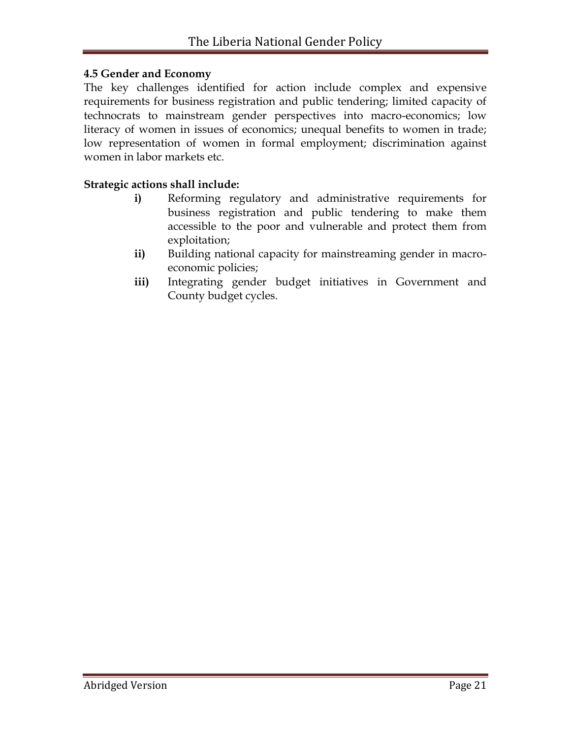#### **4.5 Gender and Economy**

The key challenges identified for action include complex and expensive requirements for business registration and public tendering; limited capacity of technocrats to mainstream gender perspectives into macro-economics; low literacy of women in issues of economics; unequal benefits to women in trade; low representation of women in formal employment; discrimination against women in labor markets etc.

#### **Strategic actions shall include:**

- **i)** Reforming regulatory and administrative requirements for business registration and public tendering to make them accessible to the poor and vulnerable and protect them from exploitation;
- **ii)** Building national capacity for mainstreaming gender in macroeconomic policies;
- **iii)** Integrating gender budget initiatives in Government and County budget cycles.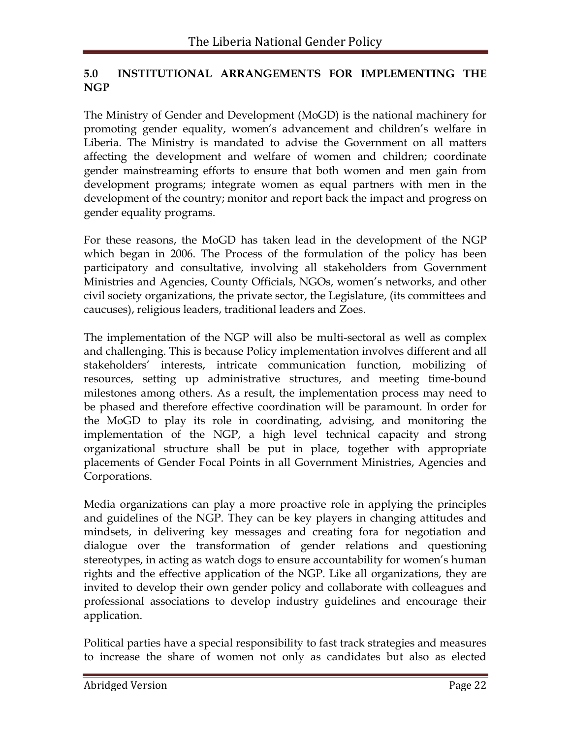# **5.0 INSTITUTIONAL ARRANGEMENTS FOR IMPLEMENTING THE NGP**

The Ministry of Gender and Development (MoGD) is the national machinery for promoting gender equality, women's advancement and children's welfare in Liberia. The Ministry is mandated to advise the Government on all matters affecting the development and welfare of women and children; coordinate gender mainstreaming efforts to ensure that both women and men gain from development programs; integrate women as equal partners with men in the development of the country; monitor and report back the impact and progress on gender equality programs.

For these reasons, the MoGD has taken lead in the development of the NGP which began in 2006. The Process of the formulation of the policy has been participatory and consultative, involving all stakeholders from Government Ministries and Agencies, County Officials, NGOs, women's networks, and other civil society organizations, the private sector, the Legislature, (its committees and caucuses), religious leaders, traditional leaders and Zoes.

The implementation of the NGP will also be multi-sectoral as well as complex and challenging. This is because Policy implementation involves different and all stakeholders' interests, intricate communication function, mobilizing of resources, setting up administrative structures, and meeting time-bound milestones among others. As a result, the implementation process may need to be phased and therefore effective coordination will be paramount. In order for the MoGD to play its role in coordinating, advising, and monitoring the implementation of the NGP, a high level technical capacity and strong organizational structure shall be put in place, together with appropriate placements of Gender Focal Points in all Government Ministries, Agencies and Corporations.

Media organizations can play a more proactive role in applying the principles and guidelines of the NGP. They can be key players in changing attitudes and mindsets, in delivering key messages and creating fora for negotiation and dialogue over the transformation of gender relations and questioning stereotypes, in acting as watch dogs to ensure accountability for women's human rights and the effective application of the NGP. Like all organizations, they are invited to develop their own gender policy and collaborate with colleagues and professional associations to develop industry guidelines and encourage their application.

Political parties have a special responsibility to fast track strategies and measures to increase the share of women not only as candidates but also as elected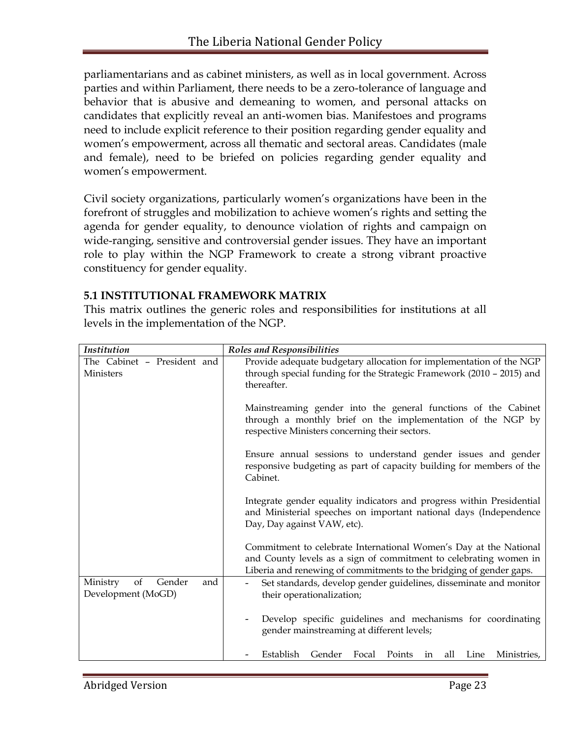parliamentarians and as cabinet ministers, as well as in local government. Across parties and within Parliament, there needs to be a zero-tolerance of language and behavior that is abusive and demeaning to women, and personal attacks on candidates that explicitly reveal an anti-women bias. Manifestoes and programs need to include explicit reference to their position regarding gender equality and women's empowerment, across all thematic and sectoral areas. Candidates (male and female), need to be briefed on policies regarding gender equality and women's empowerment.

Civil society organizations, particularly women's organizations have been in the forefront of struggles and mobilization to achieve women's rights and setting the agenda for gender equality, to denounce violation of rights and campaign on wide-ranging, sensitive and controversial gender issues. They have an important role to play within the NGP Framework to create a strong vibrant proactive constituency for gender equality.

#### **5.1 INSTITUTIONAL FRAMEWORK MATRIX**

This matrix outlines the generic roles and responsibilities for institutions at all levels in the implementation of the NGP.

| <b>Institution</b>                                    | <b>Roles and Responsibilities</b>                                                                                                                                                                             |
|-------------------------------------------------------|---------------------------------------------------------------------------------------------------------------------------------------------------------------------------------------------------------------|
| The Cabinet - President and<br><b>Ministers</b>       | Provide adequate budgetary allocation for implementation of the NGP<br>through special funding for the Strategic Framework (2010 - 2015) and<br>thereafter.                                                   |
|                                                       | Mainstreaming gender into the general functions of the Cabinet<br>through a monthly brief on the implementation of the NGP by<br>respective Ministers concerning their sectors.                               |
|                                                       | Ensure annual sessions to understand gender issues and gender<br>responsive budgeting as part of capacity building for members of the<br>Cabinet.                                                             |
|                                                       | Integrate gender equality indicators and progress within Presidential<br>and Ministerial speeches on important national days (Independence<br>Day, Day against VAW, etc).                                     |
|                                                       | Commitment to celebrate International Women's Day at the National<br>and County levels as a sign of commitment to celebrating women in<br>Liberia and renewing of commitments to the bridging of gender gaps. |
| of<br>Ministry<br>Gender<br>and<br>Development (MoGD) | Set standards, develop gender guidelines, disseminate and monitor<br>$\overline{\phantom{a}}$<br>their operationalization;                                                                                    |
|                                                       | Develop specific guidelines and mechanisms for coordinating<br>gender mainstreaming at different levels;                                                                                                      |
|                                                       | Establish<br>Gender<br>Focal<br>Points<br>Line<br>Ministries,<br>all<br>in                                                                                                                                    |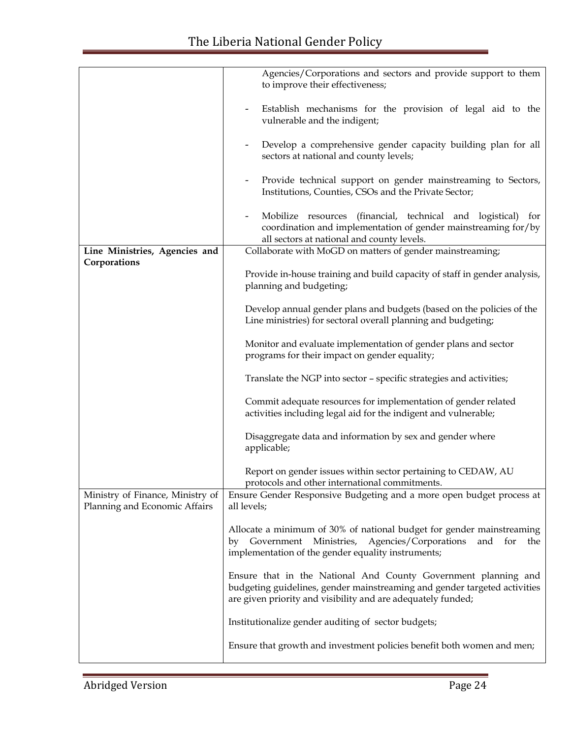|                                                                   | Agencies/Corporations and sectors and provide support to them<br>to improve their effectiveness;                                                                                                             |
|-------------------------------------------------------------------|--------------------------------------------------------------------------------------------------------------------------------------------------------------------------------------------------------------|
|                                                                   | Establish mechanisms for the provision of legal aid to the<br>vulnerable and the indigent;                                                                                                                   |
|                                                                   | Develop a comprehensive gender capacity building plan for all<br>sectors at national and county levels;                                                                                                      |
|                                                                   | Provide technical support on gender mainstreaming to Sectors,<br>Institutions, Counties, CSOs and the Private Sector;                                                                                        |
|                                                                   | Mobilize resources (financial, technical and logistical) for<br>coordination and implementation of gender mainstreaming for/by<br>all sectors at national and county levels.                                 |
| Line Ministries, Agencies and                                     | Collaborate with MoGD on matters of gender mainstreaming;                                                                                                                                                    |
| Corporations                                                      | Provide in-house training and build capacity of staff in gender analysis,<br>planning and budgeting;                                                                                                         |
|                                                                   | Develop annual gender plans and budgets (based on the policies of the<br>Line ministries) for sectoral overall planning and budgeting;                                                                       |
|                                                                   | Monitor and evaluate implementation of gender plans and sector<br>programs for their impact on gender equality;                                                                                              |
|                                                                   | Translate the NGP into sector - specific strategies and activities;                                                                                                                                          |
|                                                                   | Commit adequate resources for implementation of gender related<br>activities including legal aid for the indigent and vulnerable;                                                                            |
|                                                                   | Disaggregate data and information by sex and gender where<br>applicable;                                                                                                                                     |
|                                                                   | Report on gender issues within sector pertaining to CEDAW, AU<br>protocols and other international commitments.                                                                                              |
| Ministry of Finance, Ministry of<br>Planning and Economic Affairs | Ensure Gender Responsive Budgeting and a more open budget process at<br>all levels;                                                                                                                          |
|                                                                   | Allocate a minimum of 30% of national budget for gender mainstreaming<br>Ministries,<br>Agencies/Corporations<br>Government<br>and<br>for<br>the<br>by<br>implementation of the gender equality instruments; |
|                                                                   | Ensure that in the National And County Government planning and<br>budgeting guidelines, gender mainstreaming and gender targeted activities<br>are given priority and visibility and are adequately funded;  |
|                                                                   | Institutionalize gender auditing of sector budgets;                                                                                                                                                          |
|                                                                   | Ensure that growth and investment policies benefit both women and men;                                                                                                                                       |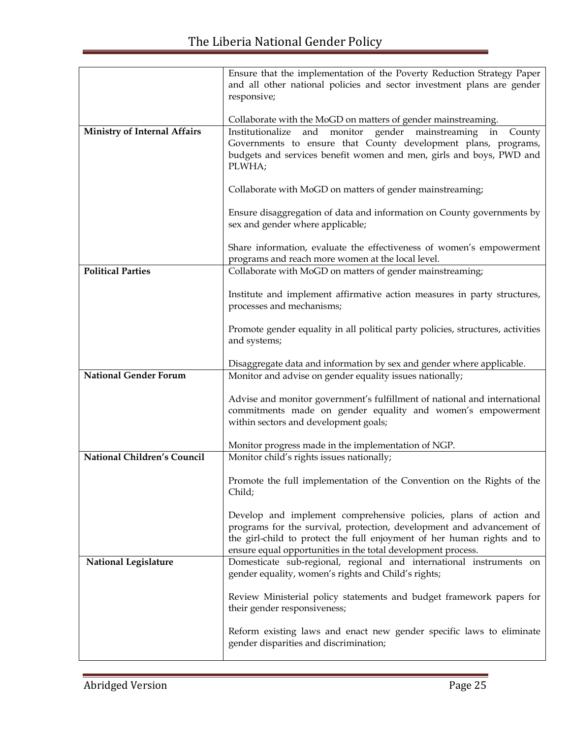|                                     | Ensure that the implementation of the Poverty Reduction Strategy Paper                                                                     |
|-------------------------------------|--------------------------------------------------------------------------------------------------------------------------------------------|
|                                     | and all other national policies and sector investment plans are gender<br>responsive;                                                      |
|                                     |                                                                                                                                            |
| <b>Ministry of Internal Affairs</b> | Collaborate with the MoGD on matters of gender mainstreaming.<br>gender mainstreaming in<br>and monitor<br>Institutionalize<br>County      |
|                                     | Governments to ensure that County development plans, programs,                                                                             |
|                                     | budgets and services benefit women and men, girls and boys, PWD and                                                                        |
|                                     | PLWHA;                                                                                                                                     |
|                                     | Collaborate with MoGD on matters of gender mainstreaming;                                                                                  |
|                                     | Ensure disaggregation of data and information on County governments by<br>sex and gender where applicable;                                 |
|                                     | Share information, evaluate the effectiveness of women's empowerment<br>programs and reach more women at the local level.                  |
| <b>Political Parties</b>            | Collaborate with MoGD on matters of gender mainstreaming;                                                                                  |
|                                     | Institute and implement affirmative action measures in party structures,                                                                   |
|                                     | processes and mechanisms;                                                                                                                  |
|                                     | Promote gender equality in all political party policies, structures, activities                                                            |
|                                     | and systems;                                                                                                                               |
|                                     | Disaggregate data and information by sex and gender where applicable.                                                                      |
| <b>National Gender Forum</b>        | Monitor and advise on gender equality issues nationally;                                                                                   |
|                                     | Advise and monitor government's fulfillment of national and international                                                                  |
|                                     | commitments made on gender equality and women's empowerment                                                                                |
|                                     | within sectors and development goals;                                                                                                      |
|                                     | Monitor progress made in the implementation of NGP.                                                                                        |
| <b>National Children's Council</b>  | Monitor child's rights issues nationally;                                                                                                  |
|                                     | Promote the full implementation of the Convention on the Rights of the<br>Child;                                                           |
|                                     |                                                                                                                                            |
|                                     | Develop and implement comprehensive policies, plans of action and<br>programs for the survival, protection, development and advancement of |
|                                     | the girl-child to protect the full enjoyment of her human rights and to                                                                    |
|                                     | ensure equal opportunities in the total development process.                                                                               |
| <b>National Legislature</b>         | Domesticate sub-regional, regional and international instruments on<br>gender equality, women's rights and Child's rights;                 |
|                                     | Review Ministerial policy statements and budget framework papers for<br>their gender responsiveness;                                       |
|                                     | Reform existing laws and enact new gender specific laws to eliminate<br>gender disparities and discrimination;                             |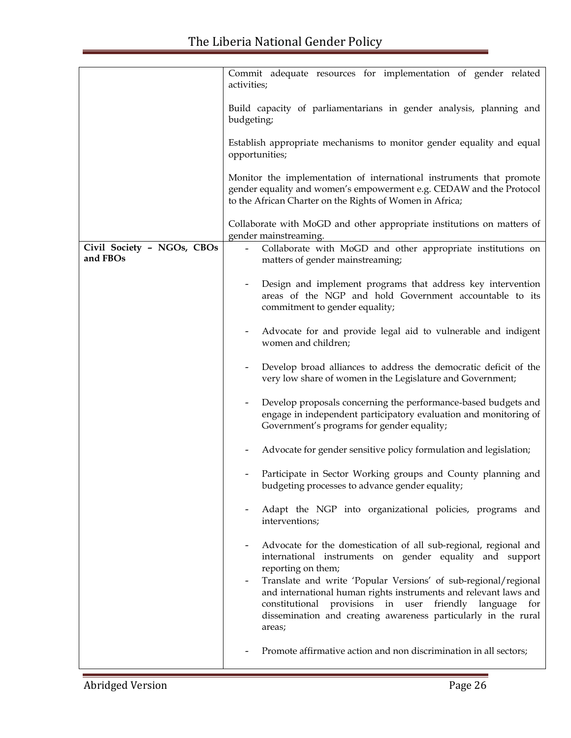|                                        | Commit adequate resources for implementation of gender related<br>activities;                                                                                                                                                                                                                            |
|----------------------------------------|----------------------------------------------------------------------------------------------------------------------------------------------------------------------------------------------------------------------------------------------------------------------------------------------------------|
|                                        | Build capacity of parliamentarians in gender analysis, planning and<br>budgeting;                                                                                                                                                                                                                        |
|                                        | Establish appropriate mechanisms to monitor gender equality and equal<br>opportunities;                                                                                                                                                                                                                  |
|                                        | Monitor the implementation of international instruments that promote<br>gender equality and women's empowerment e.g. CEDAW and the Protocol<br>to the African Charter on the Rights of Women in Africa;                                                                                                  |
|                                        | Collaborate with MoGD and other appropriate institutions on matters of<br>gender mainstreaming.                                                                                                                                                                                                          |
| Civil Society - NGOs, CBOs<br>and FBOs | Collaborate with MoGD and other appropriate institutions on<br>matters of gender mainstreaming;                                                                                                                                                                                                          |
|                                        | Design and implement programs that address key intervention<br>areas of the NGP and hold Government accountable to its<br>commitment to gender equality;                                                                                                                                                 |
|                                        | Advocate for and provide legal aid to vulnerable and indigent<br>women and children;                                                                                                                                                                                                                     |
|                                        | Develop broad alliances to address the democratic deficit of the<br>very low share of women in the Legislature and Government;                                                                                                                                                                           |
|                                        | Develop proposals concerning the performance-based budgets and<br>engage in independent participatory evaluation and monitoring of<br>Government's programs for gender equality;                                                                                                                         |
|                                        | Advocate for gender sensitive policy formulation and legislation;                                                                                                                                                                                                                                        |
|                                        | Participate in Sector Working groups and County planning and<br>budgeting processes to advance gender equality;                                                                                                                                                                                          |
|                                        | Adapt the NGP into organizational policies, programs and<br>interventions;                                                                                                                                                                                                                               |
|                                        | Advocate for the domestication of all sub-regional, regional and<br>international instruments on gender equality and support                                                                                                                                                                             |
|                                        | reporting on them;<br>Translate and write 'Popular Versions' of sub-regional/regional<br>-<br>and international human rights instruments and relevant laws and<br>provisions in user friendly language for<br>constitutional<br>dissemination and creating awareness particularly in the rural<br>areas; |
|                                        | Promote affirmative action and non discrimination in all sectors;                                                                                                                                                                                                                                        |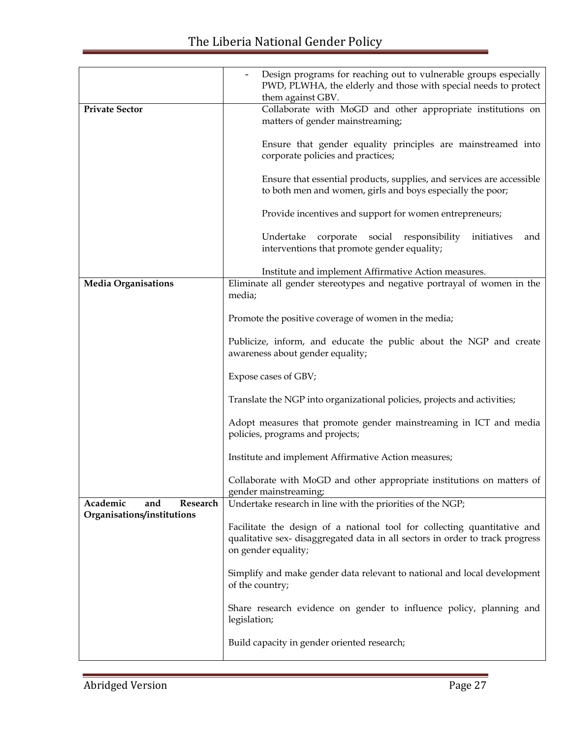|                             | Design programs for reaching out to vulnerable groups especially<br>PWD, PLWHA, the elderly and those with special needs to protect<br>them against GBV.                        |
|-----------------------------|---------------------------------------------------------------------------------------------------------------------------------------------------------------------------------|
| <b>Private Sector</b>       | Collaborate with MoGD and other appropriate institutions on<br>matters of gender mainstreaming;                                                                                 |
|                             | Ensure that gender equality principles are mainstreamed into<br>corporate policies and practices;                                                                               |
|                             | Ensure that essential products, supplies, and services are accessible<br>to both men and women, girls and boys especially the poor;                                             |
|                             | Provide incentives and support for women entrepreneurs;                                                                                                                         |
|                             | Undertake<br>corporate social responsibility<br>initiatives<br>and<br>interventions that promote gender equality;                                                               |
|                             | Institute and implement Affirmative Action measures.                                                                                                                            |
| <b>Media Organisations</b>  | Eliminate all gender stereotypes and negative portrayal of women in the                                                                                                         |
|                             | media;                                                                                                                                                                          |
|                             | Promote the positive coverage of women in the media;                                                                                                                            |
|                             | Publicize, inform, and educate the public about the NGP and create<br>awareness about gender equality;                                                                          |
|                             | Expose cases of GBV;                                                                                                                                                            |
|                             | Translate the NGP into organizational policies, projects and activities;                                                                                                        |
|                             | Adopt measures that promote gender mainstreaming in ICT and media<br>policies, programs and projects;                                                                           |
|                             | Institute and implement Affirmative Action measures;                                                                                                                            |
|                             | Collaborate with MoGD and other appropriate institutions on matters of<br>gender mainstreaming;                                                                                 |
| Academic<br>Research<br>and | Undertake research in line with the priorities of the NGP;                                                                                                                      |
| Organisations/institutions  | Facilitate the design of a national tool for collecting quantitative and<br>qualitative sex-disaggregated data in all sectors in order to track progress<br>on gender equality; |
|                             | Simplify and make gender data relevant to national and local development<br>of the country;                                                                                     |
|                             | Share research evidence on gender to influence policy, planning and<br>legislation;                                                                                             |
|                             | Build capacity in gender oriented research;                                                                                                                                     |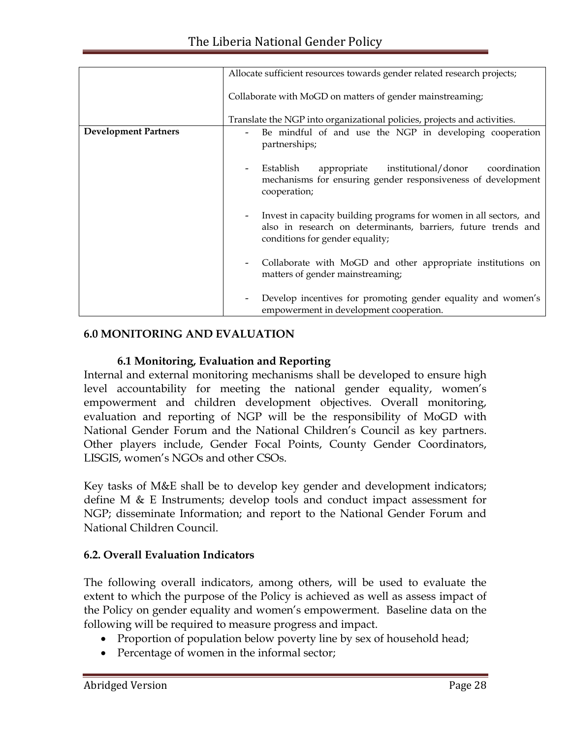|                             | Allocate sufficient resources towards gender related research projects;                                                                                                |
|-----------------------------|------------------------------------------------------------------------------------------------------------------------------------------------------------------------|
|                             | Collaborate with MoGD on matters of gender mainstreaming;                                                                                                              |
|                             | Translate the NGP into organizational policies, projects and activities.                                                                                               |
| <b>Development Partners</b> | Be mindful of and use the NGP in developing cooperation<br>partnerships;                                                                                               |
|                             | Establish<br>appropriate institutional/donor coordination<br>mechanisms for ensuring gender responsiveness of development<br>cooperation;                              |
|                             | Invest in capacity building programs for women in all sectors, and<br>also in research on determinants, barriers, future trends and<br>conditions for gender equality; |
|                             | Collaborate with MoGD and other appropriate institutions on<br>matters of gender mainstreaming;                                                                        |
|                             | Develop incentives for promoting gender equality and women's<br>empowerment in development cooperation.                                                                |

#### **6.0 MONITORING AND EVALUATION**

# **6.1 Monitoring, Evaluation and Reporting**

Internal and external monitoring mechanisms shall be developed to ensure high level accountability for meeting the national gender equality, women's empowerment and children development objectives. Overall monitoring, evaluation and reporting of NGP will be the responsibility of MoGD with National Gender Forum and the National Children's Council as key partners. Other players include, Gender Focal Points, County Gender Coordinators, LISGIS, women's NGOs and other CSOs.

Key tasks of M&E shall be to develop key gender and development indicators; define M & E Instruments; develop tools and conduct impact assessment for NGP; disseminate Information; and report to the National Gender Forum and National Children Council.

# **6.2. Overall Evaluation Indicators**

The following overall indicators, among others, will be used to evaluate the extent to which the purpose of the Policy is achieved as well as assess impact of the Policy on gender equality and women's empowerment. Baseline data on the following will be required to measure progress and impact.

- Proportion of population below poverty line by sex of household head;
- Percentage of women in the informal sector;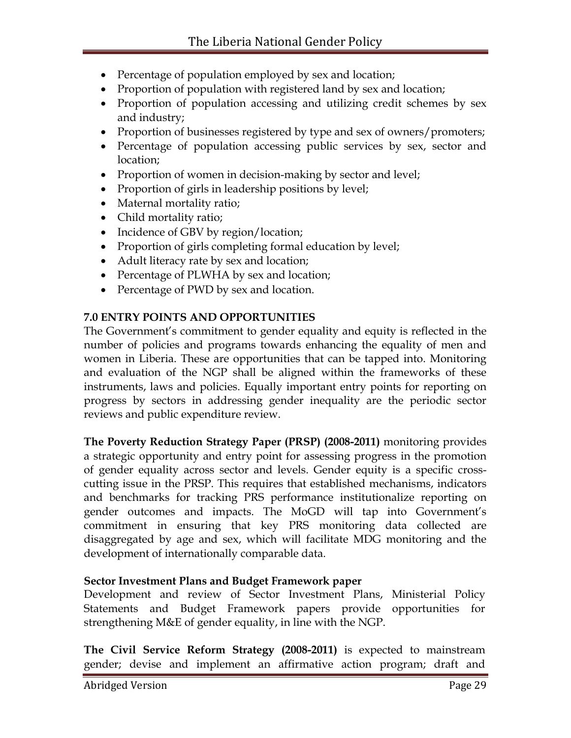- Percentage of population employed by sex and location;
- Proportion of population with registered land by sex and location;
- Proportion of population accessing and utilizing credit schemes by sex and industry;
- Proportion of businesses registered by type and sex of owners/promoters;
- Percentage of population accessing public services by sex, sector and location;
- Proportion of women in decision-making by sector and level;
- Proportion of girls in leadership positions by level;
- Maternal mortality ratio;
- Child mortality ratio;
- Incidence of GBV by region/location;
- Proportion of girls completing formal education by level;
- Adult literacy rate by sex and location;
- Percentage of PLWHA by sex and location;
- Percentage of PWD by sex and location.

#### **7.0 ENTRY POINTS AND OPPORTUNITIES**

The Government's commitment to gender equality and equity is reflected in the number of policies and programs towards enhancing the equality of men and women in Liberia. These are opportunities that can be tapped into. Monitoring and evaluation of the NGP shall be aligned within the frameworks of these instruments, laws and policies. Equally important entry points for reporting on progress by sectors in addressing gender inequality are the periodic sector reviews and public expenditure review.

**The Poverty Reduction Strategy Paper (PRSP) (2008-2011)** monitoring provides a strategic opportunity and entry point for assessing progress in the promotion of gender equality across sector and levels. Gender equity is a specific crosscutting issue in the PRSP. This requires that established mechanisms, indicators and benchmarks for tracking PRS performance institutionalize reporting on gender outcomes and impacts. The MoGD will tap into Government's commitment in ensuring that key PRS monitoring data collected are disaggregated by age and sex, which will facilitate MDG monitoring and the development of internationally comparable data.

# **Sector Investment Plans and Budget Framework paper**

Development and review of Sector Investment Plans, Ministerial Policy Statements and Budget Framework papers provide opportunities for strengthening M&E of gender equality, in line with the NGP.

**The Civil Service Reform Strategy (2008-2011)** is expected to mainstream gender; devise and implement an affirmative action program; draft and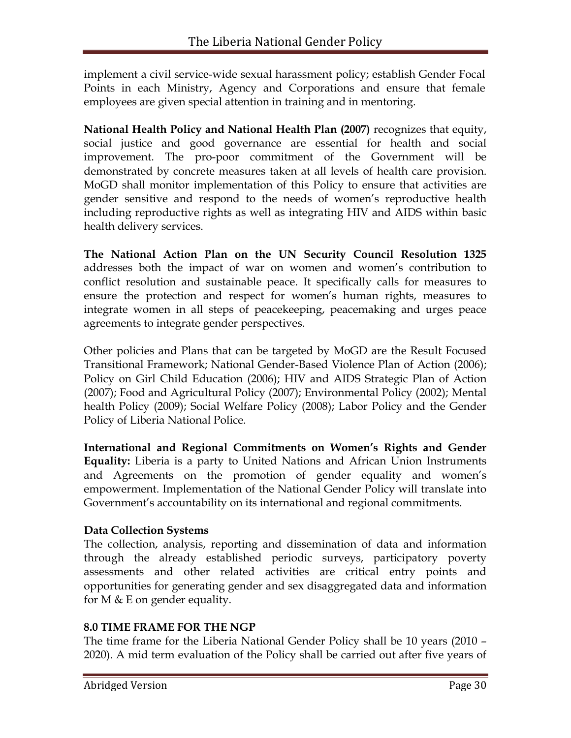implement a civil service-wide sexual harassment policy; establish Gender Focal Points in each Ministry, Agency and Corporations and ensure that female employees are given special attention in training and in mentoring.

**National Health Policy and National Health Plan (2007)** recognizes that equity, social justice and good governance are essential for health and social improvement. The pro-poor commitment of the Government will be demonstrated by concrete measures taken at all levels of health care provision. MoGD shall monitor implementation of this Policy to ensure that activities are gender sensitive and respond to the needs of women's reproductive health including reproductive rights as well as integrating HIV and AIDS within basic health delivery services.

**The National Action Plan on the UN Security Council Resolution 1325** addresses both the impact of war on women and women's contribution to conflict resolution and sustainable peace. It specifically calls for measures to ensure the protection and respect for women's human rights, measures to integrate women in all steps of peacekeeping, peacemaking and urges peace agreements to integrate gender perspectives.

Other policies and Plans that can be targeted by MoGD are the Result Focused Transitional Framework; National Gender-Based Violence Plan of Action (2006); Policy on Girl Child Education (2006); HIV and AIDS Strategic Plan of Action (2007); Food and Agricultural Policy (2007); Environmental Policy (2002); Mental health Policy (2009); Social Welfare Policy (2008); Labor Policy and the Gender Policy of Liberia National Police.

**International and Regional Commitments on Women's Rights and Gender Equality:** Liberia is a party to United Nations and African Union Instruments and Agreements on the promotion of gender equality and women's empowerment. Implementation of the National Gender Policy will translate into Government's accountability on its international and regional commitments.

# **Data Collection Systems**

The collection, analysis, reporting and dissemination of data and information through the already established periodic surveys, participatory poverty assessments and other related activities are critical entry points and opportunities for generating gender and sex disaggregated data and information for M  $&$  E on gender equality.

# **8.0 TIME FRAME FOR THE NGP**

The time frame for the Liberia National Gender Policy shall be 10 years (2010 – 2020). A mid term evaluation of the Policy shall be carried out after five years of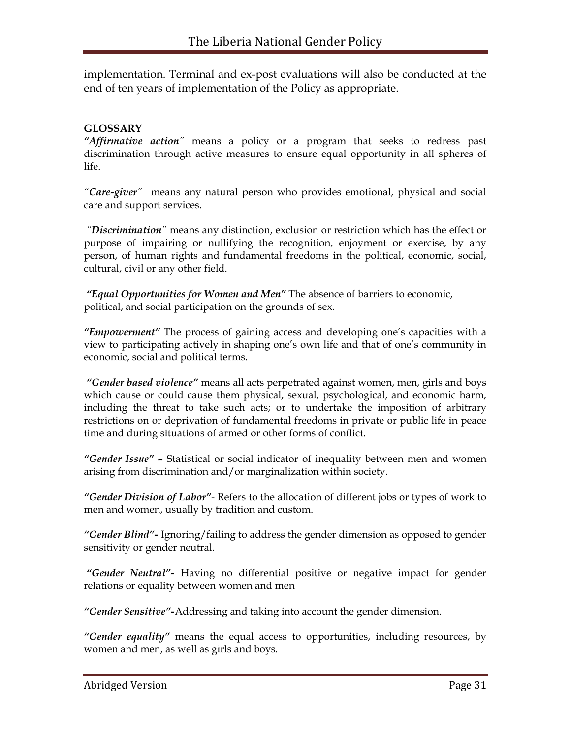implementation. Terminal and ex-post evaluations will also be conducted at the end of ten years of implementation of the Policy as appropriate.

#### **GLOSSARY**

*"Affirmative action"* means a policy or a program that seeks to redress past discrimination through active measures to ensure equal opportunity in all spheres of life.

*"Care-giver"* means any natural person who provides emotional, physical and social care and support services.

*"Discrimination"* means any distinction, exclusion or restriction which has the effect or purpose of impairing or nullifying the recognition, enjoyment or exercise, by any person, of human rights and fundamental freedoms in the political, economic, social, cultural, civil or any other field.

*"Equal Opportunities for Women and Men"* The absence of barriers to economic, political, and social participation on the grounds of sex.

*"Empowerment"* The process of gaining access and developing one's capacities with a view to participating actively in shaping one's own life and that of one's community in economic, social and political terms.

*"Gender based violence"* means all acts perpetrated against women, men, girls and boys which cause or could cause them physical, sexual, psychological, and economic harm, including the threat to take such acts; or to undertake the imposition of arbitrary restrictions on or deprivation of fundamental freedoms in private or public life in peace time and during situations of armed or other forms of conflict.

*"Gender Issue" –* Statistical or social indicator of inequality between men and women arising from discrimination and/or marginalization within society.

*"Gender Division of Labor"*- Refers to the allocation of different jobs or types of work to men and women, usually by tradition and custom.

*"Gender Blind"-* Ignoring/failing to address the gender dimension as opposed to gender sensitivity or gender neutral.

*"Gender Neutral"-* Having no differential positive or negative impact for gender relations or equality between women and men

*"Gender Sensitive"-*Addressing and taking into account the gender dimension.

*"Gender equality"* means the equal access to opportunities, including resources, by women and men, as well as girls and boys.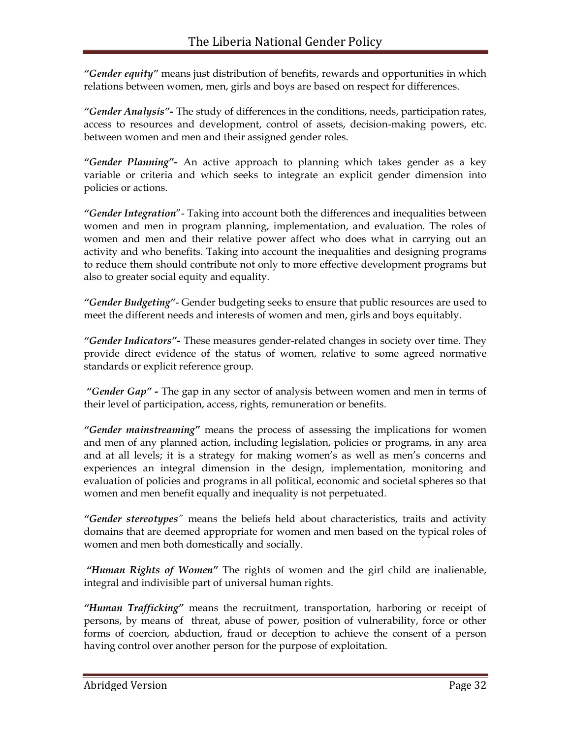*"Gender equity"* means just distribution of benefits, rewards and opportunities in which relations between women, men, girls and boys are based on respect for differences.

*"Gender Analysis"-* The study of differences in the conditions, needs, participation rates, access to resources and development, control of assets, decision-making powers, etc. between women and men and their assigned gender roles.

*"Gender Planning"-* An active approach to planning which takes gender as a key variable or criteria and which seeks to integrate an explicit gender dimension into policies or actions.

"Gender Integration" - Taking into account both the differences and inequalities between women and men in program planning, implementation, and evaluation. The roles of women and men and their relative power affect who does what in carrying out an activity and who benefits. Taking into account the inequalities and designing programs to reduce them should contribute not only to more effective development programs but also to greater social equity and equality.

*"Gender Budgeting"*- Gender budgeting seeks to ensure that public resources are used to meet the different needs and interests of women and men, girls and boys equitably.

*"Gender Indicators"-* These measures gender-related changes in society over time. They provide direct evidence of the status of women, relative to some agreed normative standards or explicit reference group.

*"Gender Gap" -* The gap in any sector of analysis between women and men in terms of their level of participation, access, rights, remuneration or benefits.

*"Gender mainstreaming"* means the process of assessing the implications for women and men of any planned action, including legislation, policies or programs, in any area and at all levels; it is a strategy for making women's as well as men's concerns and experiences an integral dimension in the design, implementation, monitoring and evaluation of policies and programs in all political, economic and societal spheres so that women and men benefit equally and inequality is not perpetuated.

*"Gender stereotypes"* means the beliefs held about characteristics, traits and activity domains that are deemed appropriate for women and men based on the typical roles of women and men both domestically and socially.

*"Human Rights of Women"* The rights of women and the girl child are inalienable, integral and indivisible part of universal human rights.

*"Human Trafficking"* means the recruitment, transportation, harboring or receipt of persons, by means of threat, abuse of power, position of vulnerability, force or other forms of coercion, abduction, fraud or deception to achieve the consent of a person having control over another person for the purpose of exploitation.